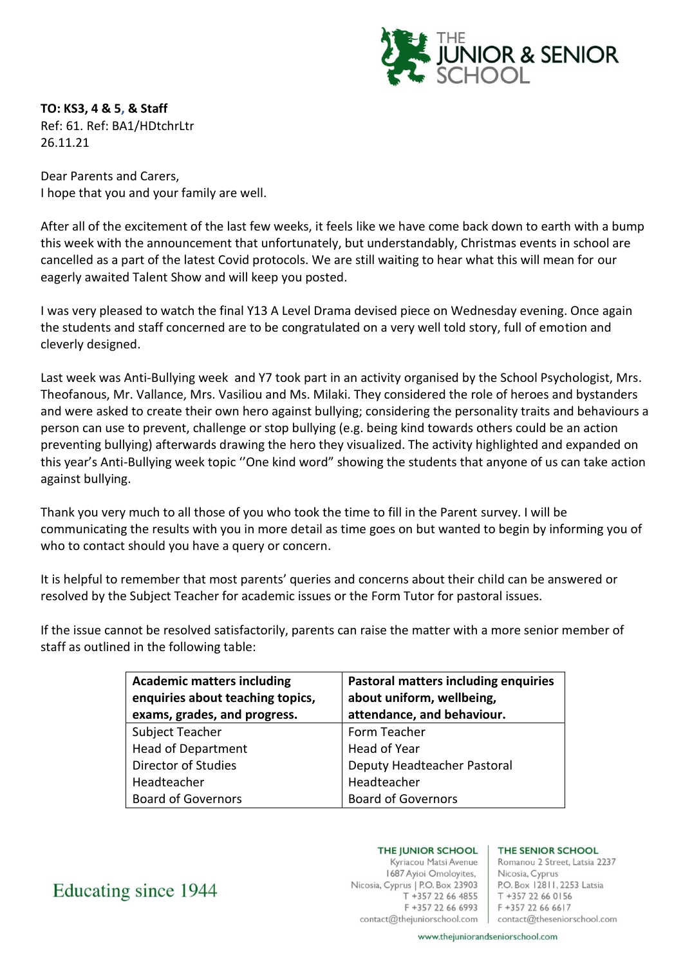

**TO: KS3, 4 & 5, & Staff** Ref: 61. Ref: BA1/HDtchrLtr 26.11.21

Dear Parents and Carers, I hope that you and your family are well.

After all of the excitement of the last few weeks, it feels like we have come back down to earth with a bump this week with the announcement that unfortunately, but understandably, Christmas events in school are cancelled as a part of the latest Covid protocols. We are still waiting to hear what this will mean for our eagerly awaited Talent Show and will keep you posted.

I was very pleased to watch the final Y13 A Level Drama devised piece on Wednesday evening. Once again the students and staff concerned are to be congratulated on a very well told story, full of emotion and cleverly designed.

Last week was Anti-Bullying week and Y7 took part in an activity organised by the School Psychologist, Mrs. Theofanous, Mr. Vallance, Mrs. Vasiliou and Ms. Milaki. They considered the role of heroes and bystanders and were asked to create their own hero against bullying; considering the personality traits and behaviours a person can use to prevent, challenge or stop bullying (e.g. being kind towards others could be an action preventing bullying) afterwards drawing the hero they visualized. The activity highlighted and expanded on this year's Anti-Bullying week topic ''One kind word" showing the students that anyone of us can take action against bullying.

Thank you very much to all those of you who took the time to fill in the Parent survey. I will be communicating the results with you in more detail as time goes on but wanted to begin by informing you of who to contact should you have a query or concern.

It is helpful to remember that most parents' queries and concerns about their child can be answered or resolved by the Subject Teacher for academic issues or the Form Tutor for pastoral issues.

If the issue cannot be resolved satisfactorily, parents can raise the matter with a more senior member of staff as outlined in the following table:

| <b>Academic matters including</b><br>enquiries about teaching topics,<br>exams, grades, and progress. | <b>Pastoral matters including enquiries</b><br>about uniform, wellbeing,<br>attendance, and behaviour. |
|-------------------------------------------------------------------------------------------------------|--------------------------------------------------------------------------------------------------------|
| Subject Teacher                                                                                       | Form Teacher                                                                                           |
| <b>Head of Department</b>                                                                             | Head of Year                                                                                           |
| Director of Studies                                                                                   | Deputy Headteacher Pastoral                                                                            |
| Headteacher                                                                                           | Headteacher                                                                                            |
| <b>Board of Governors</b>                                                                             | <b>Board of Governors</b>                                                                              |

Educating since 1944

THE JUNIOR SCHOOL

Kyriacou Matsi Avenue 1687 Ayioi Omoloyites, Nicosia, Cyprus | P.O. Box 23903  $T + 35722664855$ F +357 22 66 6993

## THE SENIOR SCHOOL

Romanou 2 Street, Latsia 2237 Nicosia, Cyprus P.O. Box 12811, 2253 Latsia T +357 22 66 0156 F +357 22 66 6617 contact@thejuniorschool.com | contact@theseniorschool.com

www.thejuniorandseniorschool.com